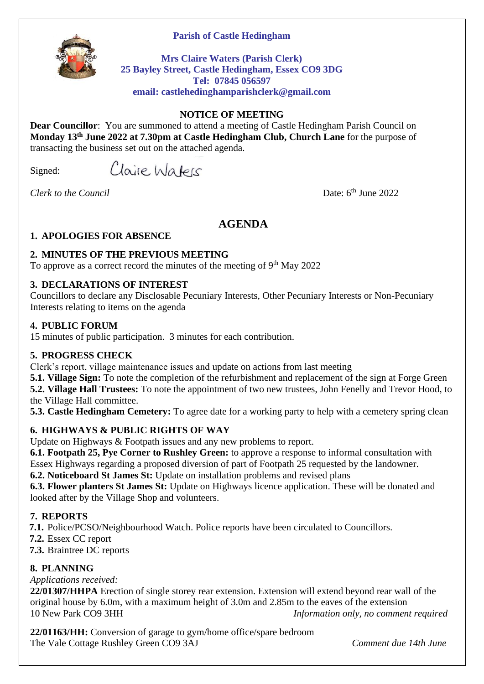#### **Parish of Castle Hedingham**



**Mrs Claire Waters (Parish Clerk) 25 Bayley Street, Castle Hedingham, Essex CO9 3DG Tel: 07845 056597 email: castlehedinghamparishclerk@gmail.com**

#### **NOTICE OF MEETING**

**Dear Councillor**: You are summoned to attend a meeting of Castle Hedingham Parish Council on **Monday 13th June 2022 at 7.30pm at Castle Hedingham Club, Church Lane** for the purpose of transacting the business set out on the attached agenda.

Signed:

Claire Waters

*Clerk to the Council* 

Date:  $6<sup>th</sup>$  June 2022

# **AGENDA**

### **1. APOLOGIES FOR ABSENCE**

### **2. MINUTES OF THE PREVIOUS MEETING**

To approve as a correct record the minutes of the meeting of  $9<sup>th</sup>$  May 2022

### **3. DECLARATIONS OF INTEREST**

Councillors to declare any Disclosable Pecuniary Interests, Other Pecuniary Interests or Non-Pecuniary Interests relating to items on the agenda

#### **4. PUBLIC FORUM**

15 minutes of public participation. 3 minutes for each contribution.

### **5. PROGRESS CHECK**

Clerk's report, village maintenance issues and update on actions from last meeting

**5.1. Village Sign:** To note the completion of the refurbishment and replacement of the sign at Forge Green **5.2. Village Hall Trustees:** To note the appointment of two new trustees, John Fenelly and Trevor Hood, to the Village Hall committee.

**5.3. Castle Hedingham Cemetery:** To agree date for a working party to help with a cemetery spring clean

### **6. HIGHWAYS & PUBLIC RIGHTS OF WAY**

Update on Highways & Footpath issues and any new problems to report.

**6.1. Footpath 25, Pye Corner to Rushley Green:** to approve a response to informal consultation with Essex Highways regarding a proposed diversion of part of Footpath 25 requested by the landowner.

**6.2. Noticeboard St James St:** Update on installation problems and revised plans

**6.3. Flower planters St James St:** Update on Highways licence application. These will be donated and looked after by the Village Shop and volunteers.

### **7. REPORTS**

**7.1.** Police/PCSO/Neighbourhood Watch. Police reports have been circulated to Councillors.

- **7.2.** Essex CC report
- **7.3.** Braintree DC reports

### **8. PLANNING**

*Applications received:*

**22/01307/HHPA** Erection of single storey rear extension. Extension will extend beyond rear wall of the original house by 6.0m, with a maximum height of 3.0m and 2.85m to the eaves of the extension 10 New Park CO9 3HH *Information only, no comment required*

**22/01163/HH:** Conversion of garage to gym/home office/spare bedroom The Vale Cottage Rushley Green CO9 3AJ *Comment due 14th June*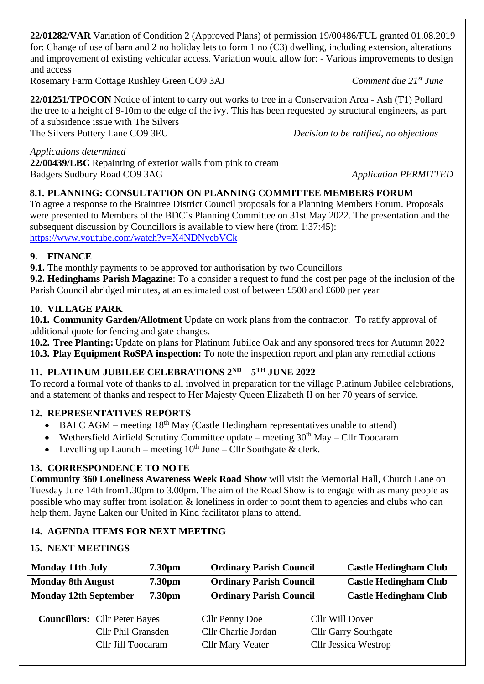**22/01282/VAR** Variation of Condition 2 (Approved Plans) of permission 19/00486/FUL granted 01.08.2019 for: Change of use of barn and 2 no holiday lets to form 1 no (C3) dwelling, including extension, alterations and improvement of existing vehicular access. Variation would allow for: - Various improvements to design and access

Rosemary Farm Cottage Rushley Green CO9 3AJ *Comment due 21st June*

**22/01251/TPOCON** Notice of intent to carry out works to tree in a Conservation Area - Ash (T1) Pollard the tree to a height of 9-10m to the edge of the ivy. This has been requested by structural engineers, as part of a subsidence issue with The Silvers The Silvers Pottery Lane CO9 3EU *Decision to be ratified, no objections*

*Applications determined*

**22/00439/LBC** Repainting of exterior walls from pink to cream Badgers Sudbury Road CO9 3AG *Application PERMITTED* 

### **8.1. PLANNING: CONSULTATION ON PLANNING COMMITTEE MEMBERS FORUM**

To agree a response to the Braintree District Council proposals for a Planning Members Forum. Proposals were presented to Members of the BDC's Planning Committee on 31st May 2022. The presentation and the subsequent discussion by Councillors is available to view here (from 1:37:45): <https://www.youtube.com/watch?v=X4NDNyebVCk>

### **9. FINANCE**

**9.1.** The monthly payments to be approved for authorisation by two Councillors

**9.2. Hedinghams Parish Magazine**: To a consider a request to fund the cost per page of the inclusion of the Parish Council abridged minutes, at an estimated cost of between £500 and £600 per year

### **10. VILLAGE PARK**

**10.1. Community Garden/Allotment** Update on work plans from the contractor. To ratify approval of additional quote for fencing and gate changes.

**10.2. Tree Planting:** Update on plans for Platinum Jubilee Oak and any sponsored trees for Autumn 2022 **10.3. Play Equipment RoSPA inspection:** To note the inspection report and plan any remedial actions

# **11. PLATINUM JUBILEE CELEBRATIONS 2ND – 5 TH JUNE 2022**

To record a formal vote of thanks to all involved in preparation for the village Platinum Jubilee celebrations, and a statement of thanks and respect to Her Majesty Queen Elizabeth II on her 70 years of service.

# **12. REPRESENTATIVES REPORTS**

- BALC AGM meeting  $18<sup>th</sup>$  May (Castle Hedingham representatives unable to attend)
- Wethersfield Airfield Scrutiny Committee update meeting  $30<sup>th</sup>$  May Cllr Toocaram
- Levelling up Launch meeting  $10^{th}$  June Cllr Southgate & clerk.

# **13. CORRESPONDENCE TO NOTE**

**Community 360 Loneliness Awareness Week Road Show** will visit the Memorial Hall, Church Lane on Tuesday June 14th from1.30pm to 3.00pm. The aim of the Road Show is to engage with as many people as possible who may suffer from isolation & loneliness in order to point them to agencies and clubs who can help them. Jayne Laken our United in Kind facilitator plans to attend.

# **14. AGENDA ITEMS FOR NEXT MEETING**

### **15. NEXT MEETINGS**

| <b>Monday 11th July</b>      | 7.30 <sub>pm</sub> | <b>Ordinary Parish Council</b> | <b>Castle Hedingham Club</b> |
|------------------------------|--------------------|--------------------------------|------------------------------|
| <b>Monday 8th August</b>     | <b>7.30pm</b>      | <b>Ordinary Parish Council</b> | <b>Castle Hedingham Club</b> |
| <b>Monday 12th September</b> | 7.30 <sub>pm</sub> | <b>Ordinary Parish Council</b> | <b>Castle Hedingham Club</b> |

**Councillors:** Cllr Peter Bayes Cllr Penny Doe Cllr Will Dover

Cllr Phil Gransden Cllr Charlie Jordan Cllr Garry Southgate Cllr Jill Toocaram Cllr Mary Veater Cllr Jessica Westrop